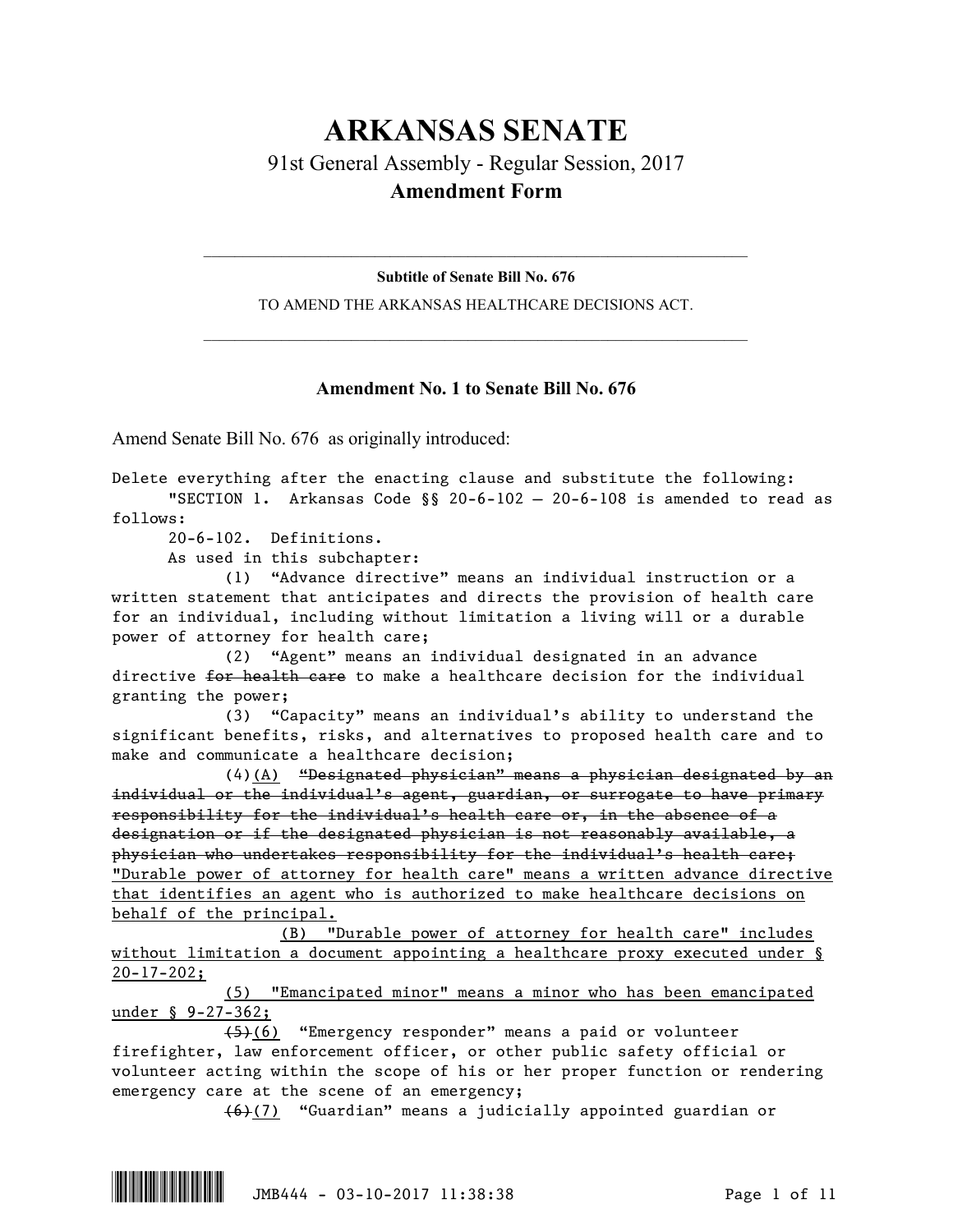## **ARKANSAS SENATE** 91st General Assembly - Regular Session, 2017 **Amendment Form**

 $\mathcal{L}_\mathcal{L} = \mathcal{L}_\mathcal{L} = \mathcal{L}_\mathcal{L} = \mathcal{L}_\mathcal{L} = \mathcal{L}_\mathcal{L} = \mathcal{L}_\mathcal{L} = \mathcal{L}_\mathcal{L} = \mathcal{L}_\mathcal{L} = \mathcal{L}_\mathcal{L} = \mathcal{L}_\mathcal{L} = \mathcal{L}_\mathcal{L} = \mathcal{L}_\mathcal{L} = \mathcal{L}_\mathcal{L} = \mathcal{L}_\mathcal{L} = \mathcal{L}_\mathcal{L} = \mathcal{L}_\mathcal{L} = \mathcal{L}_\mathcal{L}$ **Subtitle of Senate Bill No. 676**

TO AMEND THE ARKANSAS HEALTHCARE DECISIONS ACT.  $\mathcal{L}_\mathcal{L} = \mathcal{L}_\mathcal{L} = \mathcal{L}_\mathcal{L} = \mathcal{L}_\mathcal{L} = \mathcal{L}_\mathcal{L} = \mathcal{L}_\mathcal{L} = \mathcal{L}_\mathcal{L} = \mathcal{L}_\mathcal{L} = \mathcal{L}_\mathcal{L} = \mathcal{L}_\mathcal{L} = \mathcal{L}_\mathcal{L} = \mathcal{L}_\mathcal{L} = \mathcal{L}_\mathcal{L} = \mathcal{L}_\mathcal{L} = \mathcal{L}_\mathcal{L} = \mathcal{L}_\mathcal{L} = \mathcal{L}_\mathcal{L}$ 

## **Amendment No. 1 to Senate Bill No. 676**

Amend Senate Bill No. 676 as originally introduced:

Delete everything after the enacting clause and substitute the following: "SECTION 1. Arkansas Code  $\S$ § 20-6-102 - 20-6-108 is amended to read as follows: 20-6-102. Definitions. As used in this subchapter: (1) "Advance directive" means an individual instruction or a written statement that anticipates and directs the provision of health care for an individual, including without limitation a living will or a durable power of attorney for health care; (2) "Agent" means an individual designated in an advance directive for health care to make a healthcare decision for the individual granting the power; (3) "Capacity" means an individual's ability to understand the significant benefits, risks, and alternatives to proposed health care and to make and communicate a healthcare decision; (4)(A) "Designated physician" means a physician designated by an individual or the individual's agent, guardian, or surrogate to have primary responsibility for the individual's health care or, in the absence of a designation or if the designated physician is not reasonably available, a physician who undertakes responsibility for the individual's health care; "Durable power of attorney for health care" means a written advance directive that identifies an agent who is authorized to make healthcare decisions on behalf of the principal. (B) "Durable power of attorney for health care" includes without limitation a document appointing a healthcare proxy executed under §  $20-17-202;$ (5) "Emancipated minor" means a minor who has been emancipated under § 9-27-362; (5)(6) "Emergency responder" means a paid or volunteer firefighter, law enforcement officer, or other public safety official or

volunteer acting within the scope of his or her proper function or rendering emergency care at the scene of an emergency;

(6)(7) "Guardian" means a judicially appointed guardian or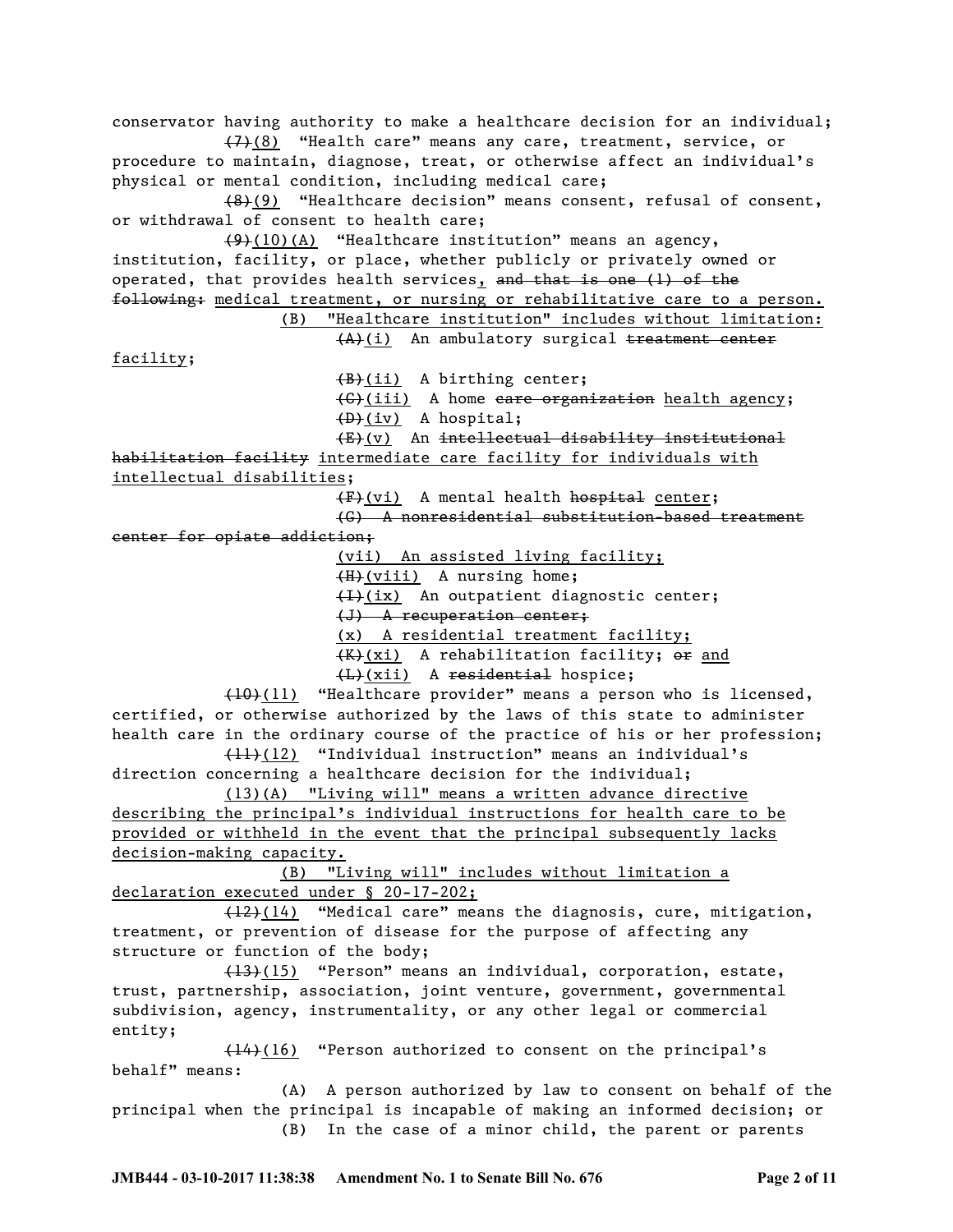conservator having authority to make a healthcare decision for an individual; (7)(8) "Health care" means any care, treatment, service, or procedure to maintain, diagnose, treat, or otherwise affect an individual's physical or mental condition, including medical care; (8)(9) "Healthcare decision" means consent, refusal of consent, or withdrawal of consent to health care;  $(9)$ (10)(A) "Healthcare institution" means an agency, institution, facility, or place, whether publicly or privately owned or operated, that provides health services, and that is one (1) of the following: medical treatment, or nursing or rehabilitative care to a person. (B) "Healthcare institution" includes without limitation: (A)(i) An ambulatory surgical treatment center facility; (B)(ii) A birthing center; (C)(iii) A home care organization health agency;  $(D)$  (iv) A hospital; (E)(v) An intellectual disability institutional habilitation facility intermediate care facility for individuals with intellectual disabilities; (F)(vi) A mental health hospital center; (G) A nonresidential substitution-based treatment center for opiate addiction; (vii) An assisted living facility; (H)(viii) A nursing home; (I)(ix) An outpatient diagnostic center; (J) A recuperation center; (x) A residential treatment facility; (K)(xi) A rehabilitation facility; or and (L)(xii) A residential hospice; (10)(11) "Healthcare provider" means a person who is licensed, certified, or otherwise authorized by the laws of this state to administer health care in the ordinary course of the practice of his or her profession;  $(11)$ (12) "Individual instruction" means an individual's direction concerning a healthcare decision for the individual; (13)(A) "Living will" means a written advance directive describing the principal's individual instructions for health care to be provided or withheld in the event that the principal subsequently lacks decision-making capacity. (B) "Living will" includes without limitation a declaration executed under § 20-17-202;  $\frac{12}{12}(14)$  "Medical care" means the diagnosis, cure, mitigation, treatment, or prevention of disease for the purpose of affecting any structure or function of the body; (13)(15) "Person" means an individual, corporation, estate, trust, partnership, association, joint venture, government, governmental subdivision, agency, instrumentality, or any other legal or commercial entity;  $(14)$ (16) "Person authorized to consent on the principal's behalf" means: (A) A person authorized by law to consent on behalf of the principal when the principal is incapable of making an informed decision; or (B) In the case of a minor child, the parent or parents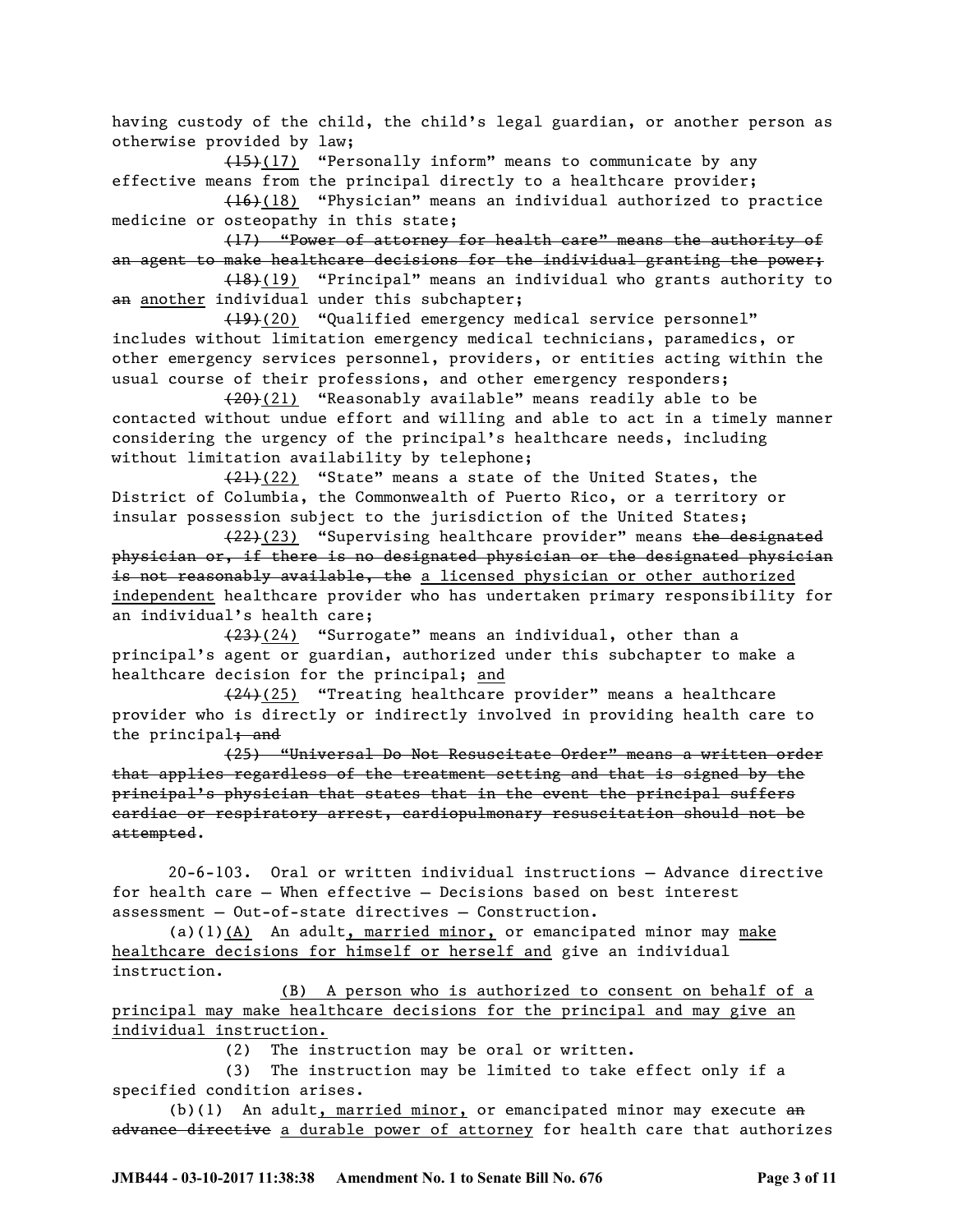having custody of the child, the child's legal guardian, or another person as otherwise provided by law;

(15)(17) "Personally inform" means to communicate by any effective means from the principal directly to a healthcare provider;

(16)(18) "Physician" means an individual authorized to practice medicine or osteopathy in this state;

(17) "Power of attorney for health care" means the authority of an agent to make healthcare decisions for the individual granting the power;

(18)(19) "Principal" means an individual who grants authority to an another individual under this subchapter;

(19)(20) "Qualified emergency medical service personnel" includes without limitation emergency medical technicians, paramedics, or other emergency services personnel, providers, or entities acting within the usual course of their professions, and other emergency responders;

 $(20)(21)$  "Reasonably available" means readily able to be contacted without undue effort and willing and able to act in a timely manner considering the urgency of the principal's healthcare needs, including without limitation availability by telephone;

 $(21)(22)$  "State" means a state of the United States, the District of Columbia, the Commonwealth of Puerto Rico, or a territory or insular possession subject to the jurisdiction of the United States;

 $(22)$ (23) "Supervising healthcare provider" means the designated physician or, if there is no designated physician or the designated physician is not reasonably available, the a licensed physician or other authorized independent healthcare provider who has undertaken primary responsibility for an individual's health care;

(23)(24) "Surrogate" means an individual, other than a principal's agent or guardian, authorized under this subchapter to make a healthcare decision for the principal; and

(24)(25) "Treating healthcare provider" means a healthcare provider who is directly or indirectly involved in providing health care to the principal; and

(25) "Universal Do Not Resuscitate Order" means a written order that applies regardless of the treatment setting and that is signed by the principal's physician that states that in the event the principal suffers cardiac or respiratory arrest, cardiopulmonary resuscitation should not be attempted.

20-6-103. Oral or written individual instructions — Advance directive for health care — When effective — Decisions based on best interest assessment — Out-of-state directives — Construction.

(a)(1)(A) An adult, married minor, or emancipated minor may make healthcare decisions for himself or herself and give an individual instruction.

(B) A person who is authorized to consent on behalf of a principal may make healthcare decisions for the principal and may give an individual instruction.

(2) The instruction may be oral or written.

(3) The instruction may be limited to take effect only if a specified condition arises.

(b)(1) An adult, married minor, or emancipated minor may execute  $a_n$ advance directive a durable power of attorney for health care that authorizes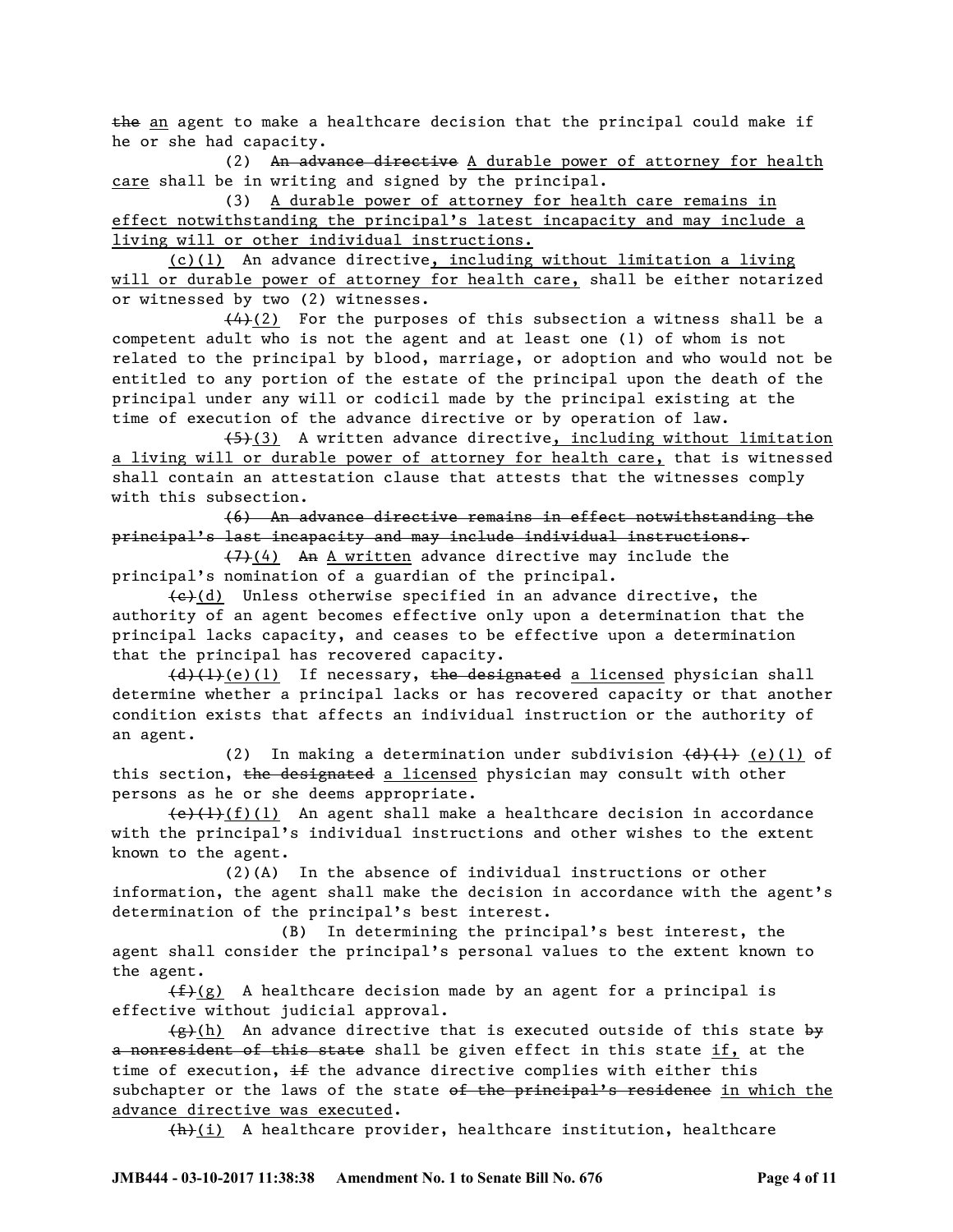the an agent to make a healthcare decision that the principal could make if he or she had capacity.

(2) An advance directive A durable power of attorney for health care shall be in writing and signed by the principal.

(3) A durable power of attorney for health care remains in effect notwithstanding the principal's latest incapacity and may include a living will or other individual instructions.

(c)(1) An advance directive, including without limitation a living will or durable power of attorney for health care, shall be either notarized or witnessed by two (2) witnesses.

 $(4)$ (2) For the purposes of this subsection a witness shall be a competent adult who is not the agent and at least one (1) of whom is not related to the principal by blood, marriage, or adoption and who would not be entitled to any portion of the estate of the principal upon the death of the principal under any will or codicil made by the principal existing at the time of execution of the advance directive or by operation of law.

 $(5)(3)$  A written advance directive, including without limitation a living will or durable power of attorney for health care, that is witnessed shall contain an attestation clause that attests that the witnesses comply with this subsection.

(6) An advance directive remains in effect notwithstanding the principal's last incapacity and may include individual instructions.

(7)(4) An A written advance directive may include the principal's nomination of a guardian of the principal.

 $\left\{\frac{e}{c}\right\}(d)$  Unless otherwise specified in an advance directive, the authority of an agent becomes effective only upon a determination that the principal lacks capacity, and ceases to be effective upon a determination that the principal has recovered capacity.

 $(d)$ (1)(e)(1) If necessary, the designated a licensed physician shall determine whether a principal lacks or has recovered capacity or that another condition exists that affects an individual instruction or the authority of an agent.

(2) In making a determination under subdivision  $\{\theta\}$  (+) (e)(1) of this section, the designated a licensed physician may consult with other persons as he or she deems appropriate.

 $\left(\frac{e}{f}(1),\frac{f}{f}(1)\right)$  An agent shall make a healthcare decision in accordance with the principal's individual instructions and other wishes to the extent known to the agent.

(2)(A) In the absence of individual instructions or other information, the agent shall make the decision in accordance with the agent's determination of the principal's best interest.

(B) In determining the principal's best interest, the agent shall consider the principal's personal values to the extent known to the agent.

 $(f)(g)$  A healthcare decision made by an agent for a principal is effective without judicial approval.

 $\{\hat{g}\}(h)$  An advance directive that is executed outside of this state by a nonresident of this state shall be given effect in this state if, at the time of execution,  $\pm$  the advance directive complies with either this subchapter or the laws of the state of the principal's residence in which the advance directive was executed.

 $+h$  $(i)$  A healthcare provider, healthcare institution, healthcare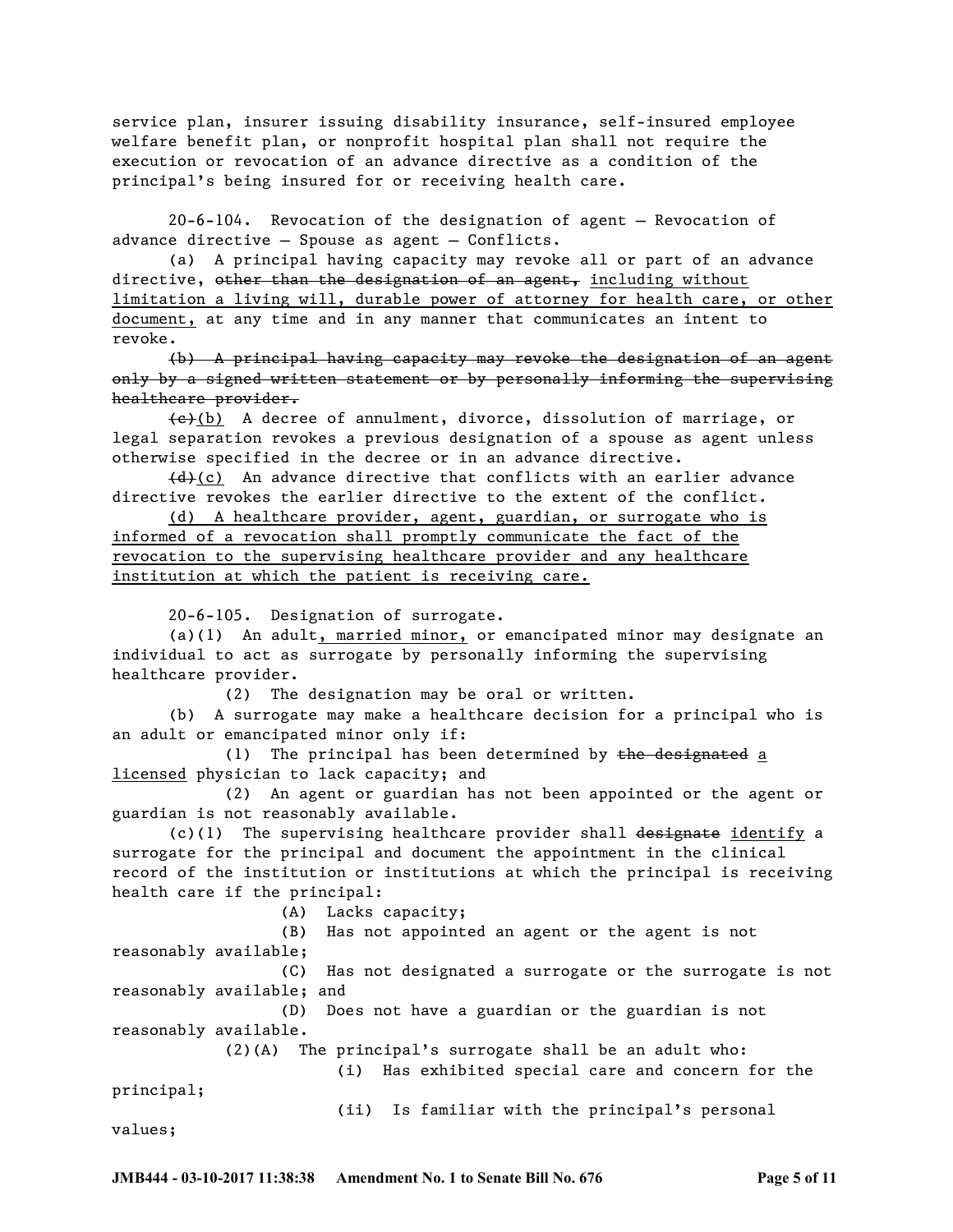service plan, insurer issuing disability insurance, self-insured employee welfare benefit plan, or nonprofit hospital plan shall not require the execution or revocation of an advance directive as a condition of the principal's being insured for or receiving health care.

20-6-104. Revocation of the designation of agent — Revocation of advance directive — Spouse as agent — Conflicts.

(a) A principal having capacity may revoke all or part of an advance directive, other than the designation of an agent, including without limitation a living will, durable power of attorney for health care, or other document, at any time and in any manner that communicates an intent to revoke.

(b) A principal having capacity may revoke the designation of an agent only by a signed written statement or by personally informing the supervising healthcare provider.

 $\left\{\frac{e}{b}\right\}$  A decree of annulment, divorce, dissolution of marriage, or legal separation revokes a previous designation of a spouse as agent unless otherwise specified in the decree or in an advance directive.

 $\left(\frac{d}{dx}\right)(c)$  An advance directive that conflicts with an earlier advance directive revokes the earlier directive to the extent of the conflict.

(d) A healthcare provider, agent, guardian, or surrogate who is informed of a revocation shall promptly communicate the fact of the revocation to the supervising healthcare provider and any healthcare institution at which the patient is receiving care.

20-6-105. Designation of surrogate.

(a)(1) An adult, married minor, or emancipated minor may designate an individual to act as surrogate by personally informing the supervising healthcare provider.

(2) The designation may be oral or written.

(b) A surrogate may make a healthcare decision for a principal who is an adult or emancipated minor only if:

(1) The principal has been determined by the designated a licensed physician to lack capacity; and

(2) An agent or guardian has not been appointed or the agent or guardian is not reasonably available.

 $(c)(1)$  The supervising healthcare provider shall designate identify a surrogate for the principal and document the appointment in the clinical record of the institution or institutions at which the principal is receiving health care if the principal:

(A) Lacks capacity;

(B) Has not appointed an agent or the agent is not reasonably available;

(C) Has not designated a surrogate or the surrogate is not reasonably available; and

(D) Does not have a guardian or the guardian is not reasonably available.

(2)(A) The principal's surrogate shall be an adult who:

(i) Has exhibited special care and concern for the

principal;

(ii) Is familiar with the principal's personal

values;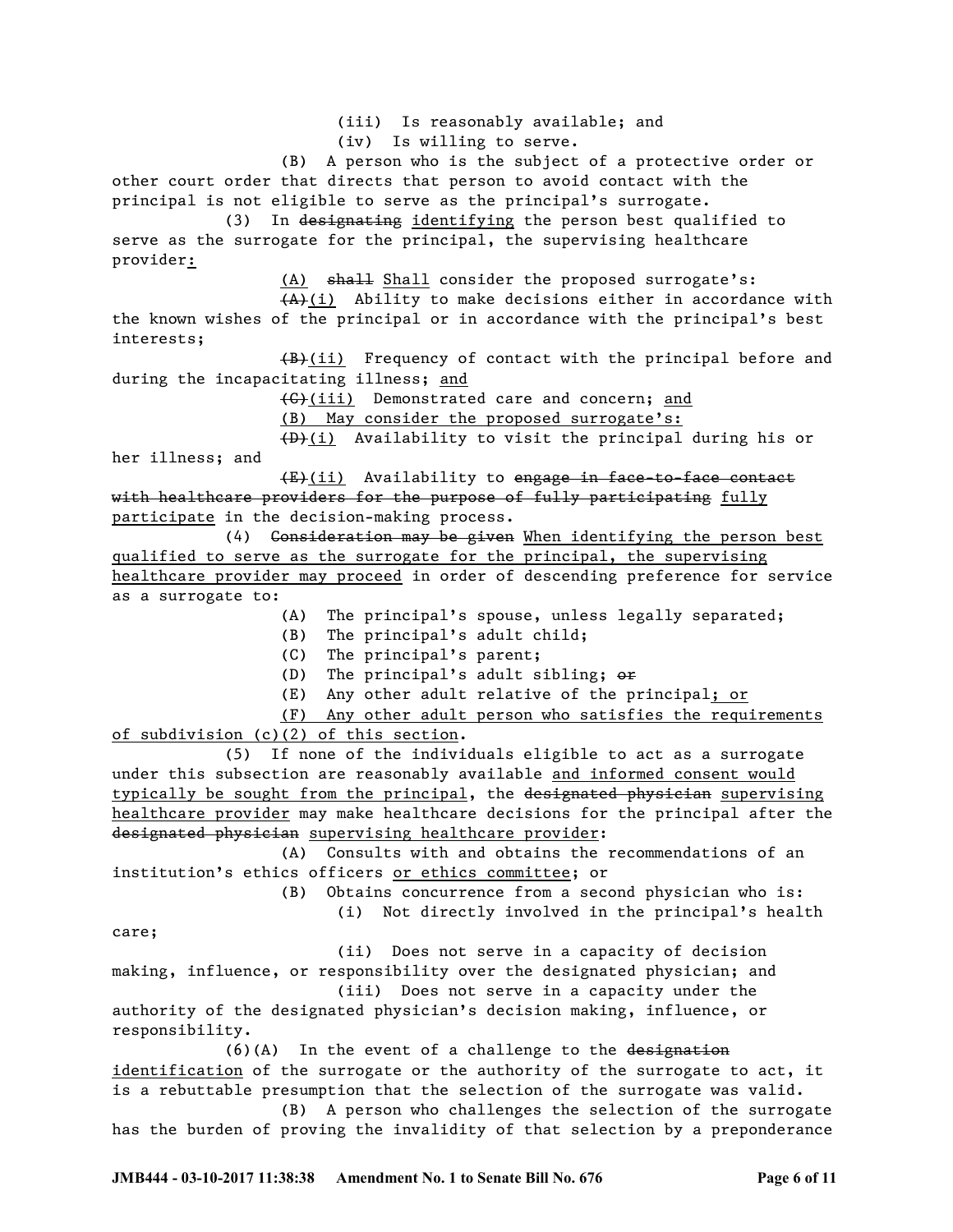(iii) Is reasonably available; and (iv) Is willing to serve. (B) A person who is the subject of a protective order or other court order that directs that person to avoid contact with the principal is not eligible to serve as the principal's surrogate. (3) In designating identifying the person best qualified to serve as the surrogate for the principal, the supervising healthcare provider: (A) shall Shall consider the proposed surrogate's: (A)(i) Ability to make decisions either in accordance with the known wishes of the principal or in accordance with the principal's best interests; (B)(ii) Frequency of contact with the principal before and during the incapacitating illness; and (C)(iii) Demonstrated care and concern; and (B) May consider the proposed surrogate's: (D)(i) Availability to visit the principal during his or her illness; and (E)(ii) Availability to engage in face-to-face contact with healthcare providers for the purpose of fully participating fully participate in the decision-making process. (4) Consideration may be given When identifying the person best qualified to serve as the surrogate for the principal, the supervising healthcare provider may proceed in order of descending preference for service as a surrogate to: (A) The principal's spouse, unless legally separated; (B) The principal's adult child; (C) The principal's parent; (D) The principal's adult sibling;  $\theta$ <sup>+</sup> (E) Any other adult relative of the principal; or (F) Any other adult person who satisfies the requirements of subdivision (c)(2) of this section. (5) If none of the individuals eligible to act as a surrogate under this subsection are reasonably available and informed consent would typically be sought from the principal, the designated physician supervising healthcare provider may make healthcare decisions for the principal after the designated physician supervising healthcare provider: (A) Consults with and obtains the recommendations of an institution's ethics officers or ethics committee; or (B) Obtains concurrence from a second physician who is: (i) Not directly involved in the principal's health care; (ii) Does not serve in a capacity of decision making, influence, or responsibility over the designated physician; and (iii) Does not serve in a capacity under the authority of the designated physician's decision making, influence, or responsibility.

(6)(A) In the event of a challenge to the designation identification of the surrogate or the authority of the surrogate to act, it is a rebuttable presumption that the selection of the surrogate was valid.

(B) A person who challenges the selection of the surrogate has the burden of proving the invalidity of that selection by a preponderance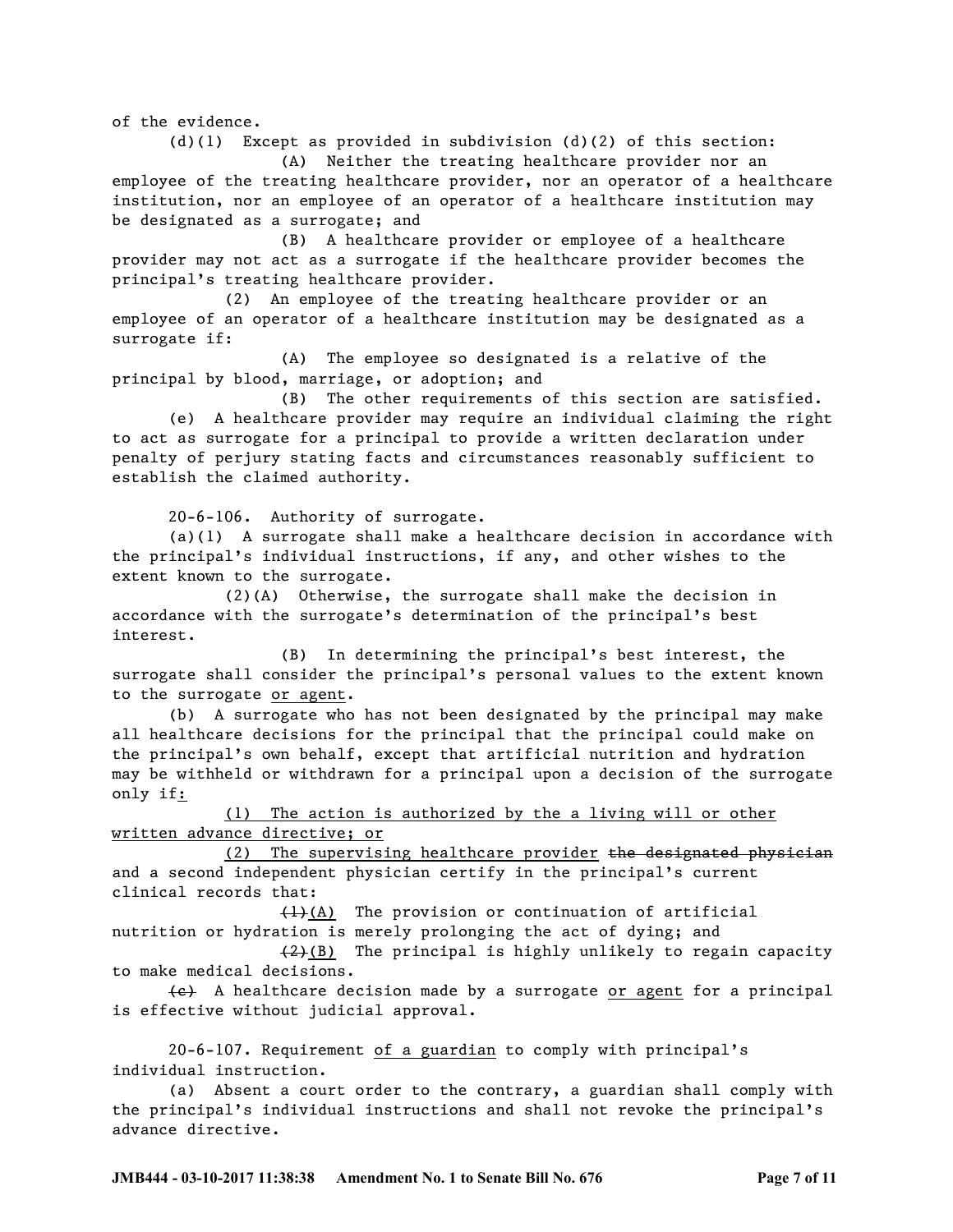of the evidence.

(d)(1) Except as provided in subdivision (d)(2) of this section: (A) Neither the treating healthcare provider nor an employee of the treating healthcare provider, nor an operator of a healthcare institution, nor an employee of an operator of a healthcare institution may

be designated as a surrogate; and (B) A healthcare provider or employee of a healthcare provider may not act as a surrogate if the healthcare provider becomes the principal's treating healthcare provider.

(2) An employee of the treating healthcare provider or an employee of an operator of a healthcare institution may be designated as a surrogate if:

(A) The employee so designated is a relative of the principal by blood, marriage, or adoption; and

(B) The other requirements of this section are satisfied.

(e) A healthcare provider may require an individual claiming the right to act as surrogate for a principal to provide a written declaration under penalty of perjury stating facts and circumstances reasonably sufficient to establish the claimed authority.

20-6-106. Authority of surrogate.

(a)(1) A surrogate shall make a healthcare decision in accordance with the principal's individual instructions, if any, and other wishes to the extent known to the surrogate.

(2)(A) Otherwise, the surrogate shall make the decision in accordance with the surrogate's determination of the principal's best interest.

(B) In determining the principal's best interest, the surrogate shall consider the principal's personal values to the extent known to the surrogate or agent.

(b) A surrogate who has not been designated by the principal may make all healthcare decisions for the principal that the principal could make on the principal's own behalf, except that artificial nutrition and hydration may be withheld or withdrawn for a principal upon a decision of the surrogate only if:

(1) The action is authorized by the a living will or other written advance directive; or

(2) The supervising healthcare provider the designated physician and a second independent physician certify in the principal's current clinical records that:

(1)(A) The provision or continuation of artificial nutrition or hydration is merely prolonging the act of dying; and

 $(2)$ (B) The principal is highly unlikely to regain capacity to make medical decisions.

 $\left\{\leftarrow\right\}$  A healthcare decision made by a surrogate or agent for a principal is effective without judicial approval.

20-6-107. Requirement of a guardian to comply with principal's individual instruction.

(a) Absent a court order to the contrary, a guardian shall comply with the principal's individual instructions and shall not revoke the principal's advance directive.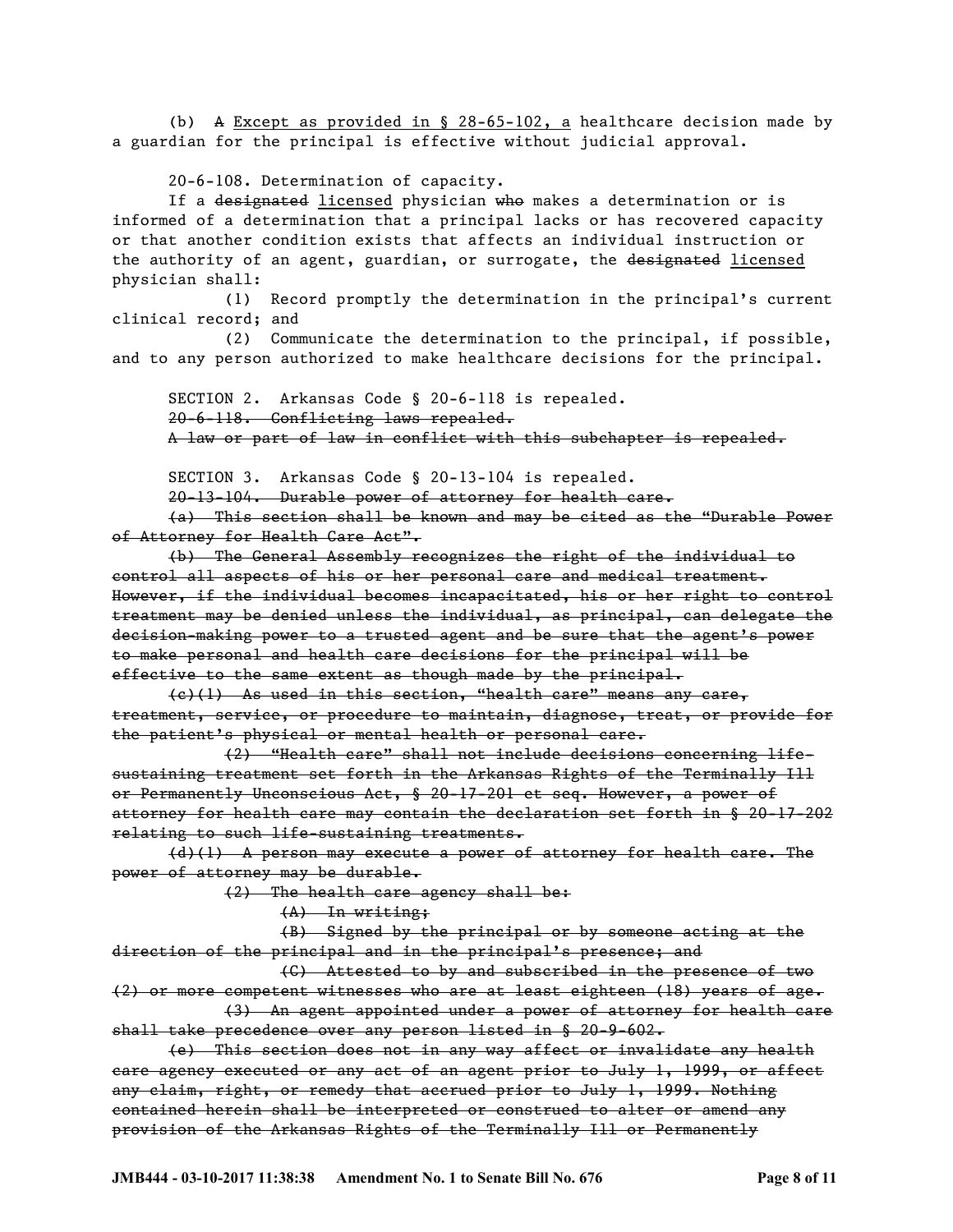(b) A Except as provided in § 28-65-102, a healthcare decision made by a guardian for the principal is effective without judicial approval.

20-6-108. Determination of capacity.

If a designated licensed physician who makes a determination or is informed of a determination that a principal lacks or has recovered capacity or that another condition exists that affects an individual instruction or the authority of an agent, guardian, or surrogate, the designated licensed physician shall:

(1) Record promptly the determination in the principal's current clinical record; and

(2) Communicate the determination to the principal, if possible, and to any person authorized to make healthcare decisions for the principal.

SECTION 2. Arkansas Code § 20-6-118 is repealed. 20-6-118. Conflicting laws repealed. A law or part of law in conflict with this subchapter is repealed.

SECTION 3. Arkansas Code § 20-13-104 is repealed.

20-13-104. Durable power of attorney for health care.

(a) This section shall be known and may be cited as the "Durable Power of Attorney for Health Care Act".

(b) The General Assembly recognizes the right of the individual to control all aspects of his or her personal care and medical treatment. However, if the individual becomes incapacitated, his or her right to control treatment may be denied unless the individual, as principal, can delegate the decision-making power to a trusted agent and be sure that the agent's power to make personal and health care decisions for the principal will be effective to the same extent as though made by the principal.

(c)(1) As used in this section, "health care" means any care, treatment, service, or procedure to maintain, diagnose, treat, or provide for the patient's physical or mental health or personal care.

(2) "Health care" shall not include decisions concerning lifesustaining treatment set forth in the Arkansas Rights of the Terminally Ill or Permanently Unconscious Act, § 20-17-201 et seq. However, a power of attorney for health care may contain the declaration set forth in § 20-17-202 relating to such life-sustaining treatments.

(d)(1) A person may execute a power of attorney for health care. The power of attorney may be durable.

(2) The health care agency shall be:

(A) In writing;

(B) Signed by the principal or by someone acting at the direction of the principal and in the principal's presence; and

(C) Attested to by and subscribed in the presence of two (2) or more competent witnesses who are at least eighteen (18) years of age.

(3) An agent appointed under a power of attorney for health care shall take precedence over any person listed in § 20-9-602.

(e) This section does not in any way affect or invalidate any health care agency executed or any act of an agent prior to July 1, 1999, or affect any claim, right, or remedy that accrued prior to July 1, 1999. Nothing contained herein shall be interpreted or construed to alter or amend any provision of the Arkansas Rights of the Terminally Ill or Permanently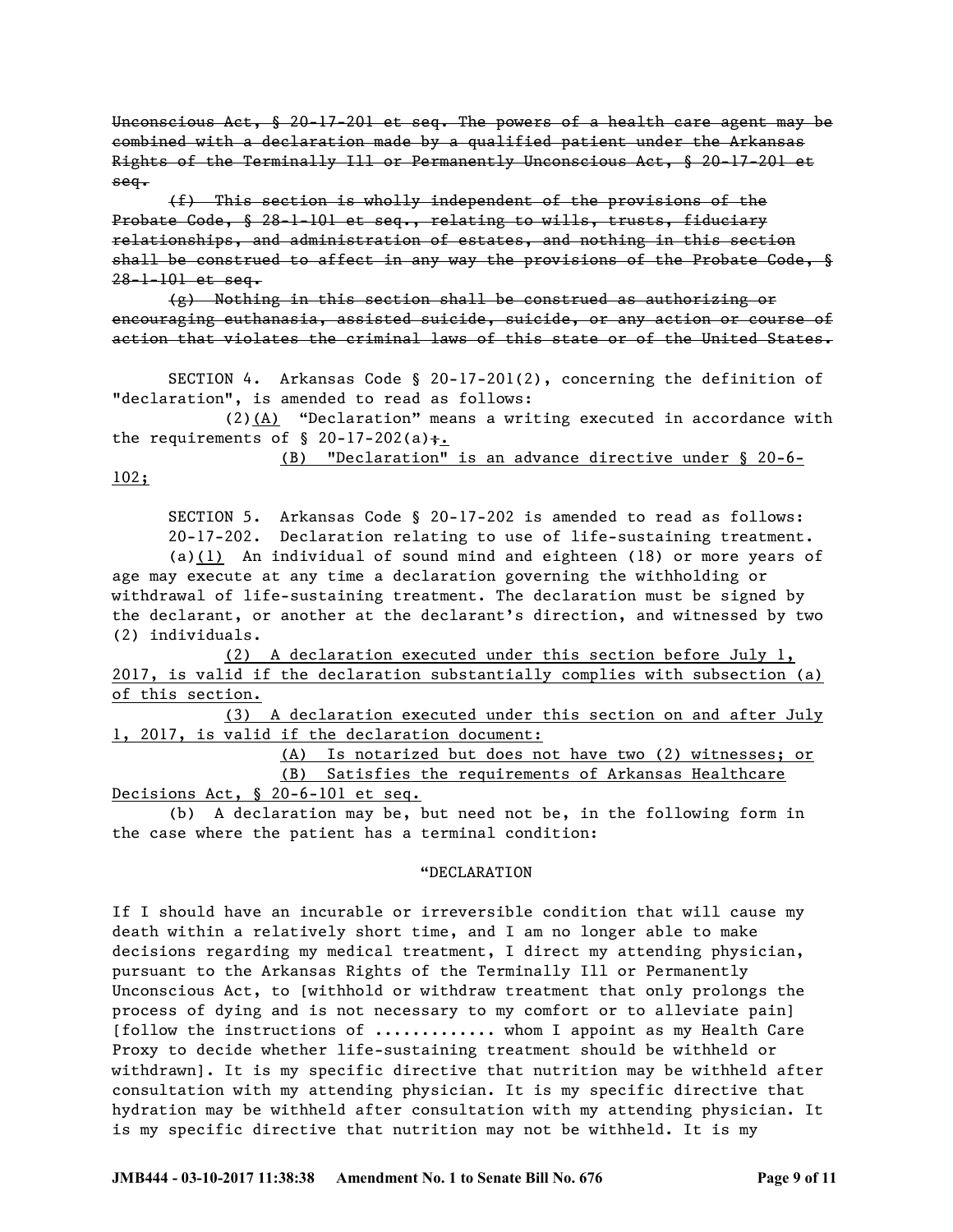Unconscious Act, § 20-17-201 et seq. The powers of a health care agent may be combined with a declaration made by a qualified patient under the Arkansas Rights of the Terminally Ill or Permanently Unconscious Act, § 20-17-201 et seq.

(f) This section is wholly independent of the provisions of the Probate Code, § 28-1-101 et seq., relating to wills, trusts, fiduciary relationships, and administration of estates, and nothing in this section shall be construed to affect in any way the provisions of the Probate Code, § 28-1-101 et seq.

(g) Nothing in this section shall be construed as authorizing or encouraging euthanasia, assisted suicide, suicide, or any action or course of action that violates the criminal laws of this state or of the United States.

SECTION 4. Arkansas Code § 20-17-201(2), concerning the definition of "declaration", is amended to read as follows:

 $(2)$  (A) "Declaration" means a writing executed in accordance with the requirements of  $\S$  20-17-202(a) $\frac{1}{10}$ .

(B) "Declaration" is an advance directive under § 20-6-

102;

SECTION 5. Arkansas Code § 20-17-202 is amended to read as follows: 20-17-202. Declaration relating to use of life-sustaining treatment.

(a)(1) An individual of sound mind and eighteen (18) or more years of age may execute at any time a declaration governing the withholding or withdrawal of life-sustaining treatment. The declaration must be signed by the declarant, or another at the declarant's direction, and witnessed by two (2) individuals.

(2) A declaration executed under this section before July 1, 2017, is valid if the declaration substantially complies with subsection (a) of this section.

(3) A declaration executed under this section on and after July 1, 2017, is valid if the declaration document:

> (A) Is notarized but does not have two (2) witnesses; or (B) Satisfies the requirements of Arkansas Healthcare

Decisions Act, § 20-6-101 et seq.

(b) A declaration may be, but need not be, in the following form in the case where the patient has a terminal condition:

## "DECLARATION

If I should have an incurable or irreversible condition that will cause my death within a relatively short time, and I am no longer able to make decisions regarding my medical treatment, I direct my attending physician, pursuant to the Arkansas Rights of the Terminally Ill or Permanently Unconscious Act, to [withhold or withdraw treatment that only prolongs the process of dying and is not necessary to my comfort or to alleviate pain] [follow the instructions of ............. whom I appoint as my Health Care Proxy to decide whether life-sustaining treatment should be withheld or withdrawn]. It is my specific directive that nutrition may be withheld after consultation with my attending physician. It is my specific directive that hydration may be withheld after consultation with my attending physician. It is my specific directive that nutrition may not be withheld. It is my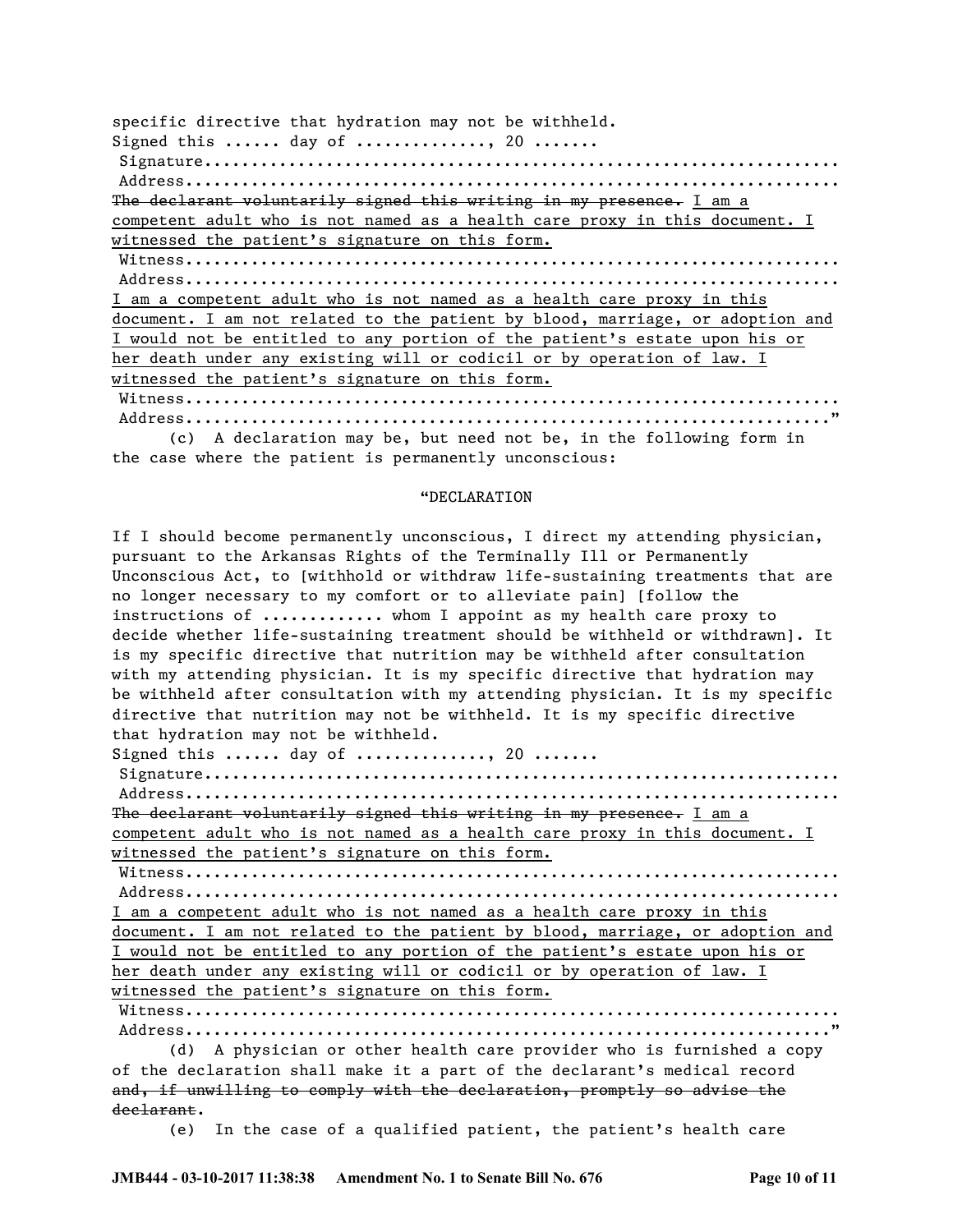specific directive that hydration may not be withheld. Signed this ...... day of .............., 20 ....... Signature.................................................................... Address...................................................................... The declarant voluntarily signed this writing in my presence. I am a competent adult who is not named as a health care proxy in this document. I witnessed the patient's signature on this form. Witness...................................................................... Address...................................................................... I am a competent adult who is not named as a health care proxy in this document. I am not related to the patient by blood, marriage, or adoption and I would not be entitled to any portion of the patient's estate upon his or her death under any existing will or codicil or by operation of law. I witnessed the patient's signature on this form. Witness...................................................................... Address....................................................................."

(c) A declaration may be, but need not be, in the following form in the case where the patient is permanently unconscious:

## "DECLARATION

If I should become permanently unconscious, I direct my attending physician, pursuant to the Arkansas Rights of the Terminally Ill or Permanently Unconscious Act, to [withhold or withdraw life-sustaining treatments that are no longer necessary to my comfort or to alleviate pain] [follow the instructions of ............. whom I appoint as my health care proxy to decide whether life-sustaining treatment should be withheld or withdrawn]. It is my specific directive that nutrition may be withheld after consultation with my attending physician. It is my specific directive that hydration may be withheld after consultation with my attending physician. It is my specific directive that nutrition may not be withheld. It is my specific directive that hydration may not be withheld.

Signed this ...... day of .............., 20 .......

Signature.................................................................... Address......................................................................

The declarant voluntarily signed this writing in my presence. I am a competent adult who is not named as a health care proxy in this document. I witnessed the patient's signature on this form.

Witness......................................................................

Address...................................................................... I am a competent adult who is not named as a health care proxy in this document. I am not related to the patient by blood, marriage, or adoption and I would not be entitled to any portion of the patient's estate upon his or her death under any existing will or codicil or by operation of law. I witnessed the patient's signature on this form.

Witness...................................................................... Address....................................................................."

(d) A physician or other health care provider who is furnished a copy of the declaration shall make it a part of the declarant's medical record and, if unwilling to comply with the declaration, promptly so advise the declarant.

(e) In the case of a qualified patient, the patient's health care